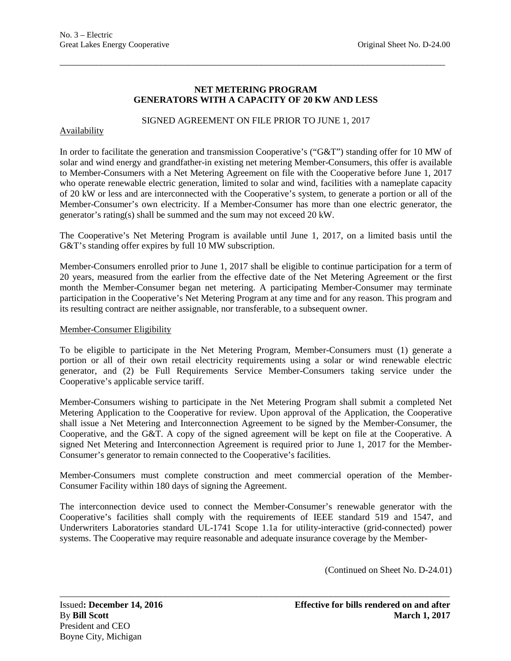## **NET METERING PROGRAM GENERATORS WITH A CAPACITY OF 20 KW AND LESS**

\_\_\_\_\_\_\_\_\_\_\_\_\_\_\_\_\_\_\_\_\_\_\_\_\_\_\_\_\_\_\_\_\_\_\_\_\_\_\_\_\_\_\_\_\_\_\_\_\_\_\_\_\_\_\_\_\_\_\_\_\_\_\_\_\_\_\_\_\_\_\_\_\_\_\_\_\_\_\_\_\_\_\_\_

SIGNED AGREEMENT ON FILE PRIOR TO JUNE 1, 2017

## **Availability**

In order to facilitate the generation and transmission Cooperative's ("G&T") standing offer for 10 MW of solar and wind energy and grandfather-in existing net metering Member-Consumers, this offer is available to Member-Consumers with a Net Metering Agreement on file with the Cooperative before June 1, 2017 who operate renewable electric generation, limited to solar and wind, facilities with a nameplate capacity of 20 kW or less and are interconnected with the Cooperative's system, to generate a portion or all of the Member-Consumer's own electricity. If a Member-Consumer has more than one electric generator, the generator's rating(s) shall be summed and the sum may not exceed 20 kW.

The Cooperative's Net Metering Program is available until June 1, 2017, on a limited basis until the G&T's standing offer expires by full 10 MW subscription.

Member-Consumers enrolled prior to June 1, 2017 shall be eligible to continue participation for a term of 20 years, measured from the earlier from the effective date of the Net Metering Agreement or the first month the Member-Consumer began net metering. A participating Member-Consumer may terminate participation in the Cooperative's Net Metering Program at any time and for any reason. This program and its resulting contract are neither assignable, nor transferable, to a subsequent owner.

### Member-Consumer Eligibility

To be eligible to participate in the Net Metering Program, Member-Consumers must (1) generate a portion or all of their own retail electricity requirements using a solar or wind renewable electric generator, and (2) be Full Requirements Service Member-Consumers taking service under the Cooperative's applicable service tariff.

Member-Consumers wishing to participate in the Net Metering Program shall submit a completed Net Metering Application to the Cooperative for review. Upon approval of the Application, the Cooperative shall issue a Net Metering and Interconnection Agreement to be signed by the Member-Consumer, the Cooperative, and the G&T. A copy of the signed agreement will be kept on file at the Cooperative. A signed Net Metering and Interconnection Agreement is required prior to June 1, 2017 for the Member-Consumer's generator to remain connected to the Cooperative's facilities.

Member-Consumers must complete construction and meet commercial operation of the Member-Consumer Facility within 180 days of signing the Agreement.

The interconnection device used to connect the Member-Consumer's renewable generator with the Cooperative's facilities shall comply with the requirements of IEEE standard 519 and 1547, and Underwriters Laboratories standard UL-1741 Scope 1.1a for utility-interactive (grid-connected) power systems. The Cooperative may require reasonable and adequate insurance coverage by the Member-

\_\_\_\_\_\_\_\_\_\_\_\_\_\_\_\_\_\_\_\_\_\_\_\_\_\_\_\_\_\_\_\_\_\_\_\_\_\_\_\_\_\_\_\_\_\_\_\_\_\_\_\_\_\_\_\_\_\_\_\_\_\_\_\_\_\_\_\_\_\_\_\_\_\_\_\_\_\_\_\_\_\_\_\_\_

(Continued on Sheet No. D-24.01)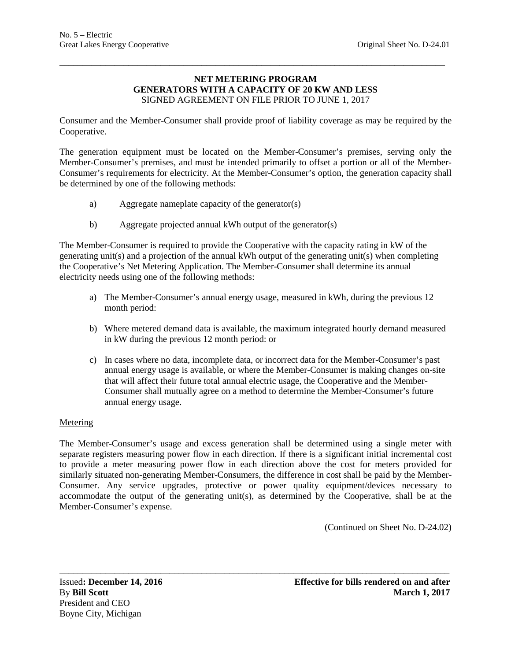#### **NET METERING PROGRAM GENERATORS WITH A CAPACITY OF 20 KW AND LESS** SIGNED AGREEMENT ON FILE PRIOR TO JUNE 1, 2017

\_\_\_\_\_\_\_\_\_\_\_\_\_\_\_\_\_\_\_\_\_\_\_\_\_\_\_\_\_\_\_\_\_\_\_\_\_\_\_\_\_\_\_\_\_\_\_\_\_\_\_\_\_\_\_\_\_\_\_\_\_\_\_\_\_\_\_\_\_\_\_\_\_\_\_\_\_\_\_\_\_\_\_\_

Consumer and the Member-Consumer shall provide proof of liability coverage as may be required by the Cooperative.

The generation equipment must be located on the Member-Consumer's premises, serving only the Member-Consumer's premises, and must be intended primarily to offset a portion or all of the Member-Consumer's requirements for electricity. At the Member-Consumer's option, the generation capacity shall be determined by one of the following methods:

- a) Aggregate nameplate capacity of the generator(s)
- b) Aggregate projected annual kWh output of the generator(s)

The Member-Consumer is required to provide the Cooperative with the capacity rating in kW of the generating unit(s) and a projection of the annual kWh output of the generating unit(s) when completing the Cooperative's Net Metering Application. The Member-Consumer shall determine its annual electricity needs using one of the following methods:

- a) The Member-Consumer's annual energy usage, measured in kWh, during the previous 12 month period:
- b) Where metered demand data is available, the maximum integrated hourly demand measured in kW during the previous 12 month period: or
- c) In cases where no data, incomplete data, or incorrect data for the Member-Consumer's past annual energy usage is available, or where the Member-Consumer is making changes on-site that will affect their future total annual electric usage, the Cooperative and the Member-Consumer shall mutually agree on a method to determine the Member-Consumer's future annual energy usage.

## **Metering**

The Member-Consumer's usage and excess generation shall be determined using a single meter with separate registers measuring power flow in each direction. If there is a significant initial incremental cost to provide a meter measuring power flow in each direction above the cost for meters provided for similarly situated non-generating Member-Consumers, the difference in cost shall be paid by the Member-Consumer. Any service upgrades, protective or power quality equipment/devices necessary to accommodate the output of the generating unit(s), as determined by the Cooperative, shall be at the Member-Consumer's expense.

\_\_\_\_\_\_\_\_\_\_\_\_\_\_\_\_\_\_\_\_\_\_\_\_\_\_\_\_\_\_\_\_\_\_\_\_\_\_\_\_\_\_\_\_\_\_\_\_\_\_\_\_\_\_\_\_\_\_\_\_\_\_\_\_\_\_\_\_\_\_\_\_\_\_\_\_\_\_\_\_\_\_\_\_\_

(Continued on Sheet No. D-24.02)